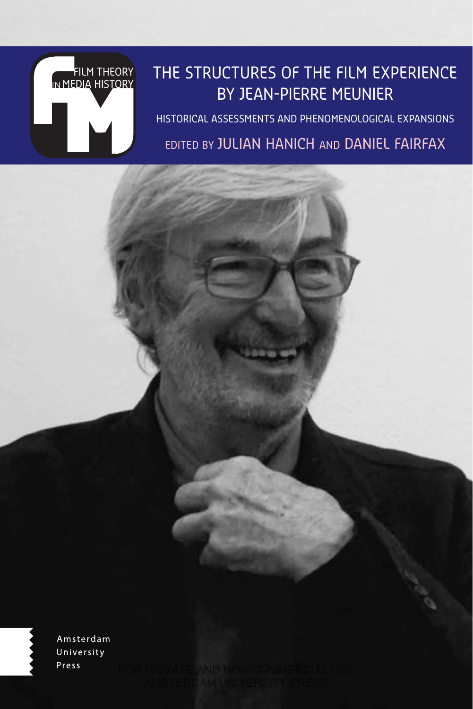# FILM THEORY IN MEDIA HISTORY

## THE STRUCTURES OF THE FILM EXPERIENCE BY JEAN-PIERRE MEUNIER

HISTORICAL ASSESSMENTS AND PHENOMENOLOGICAL EXPANSIONS EDITED BY JULIAN HANICH AND DANIEL FAIRFAX

Amsterdam University Press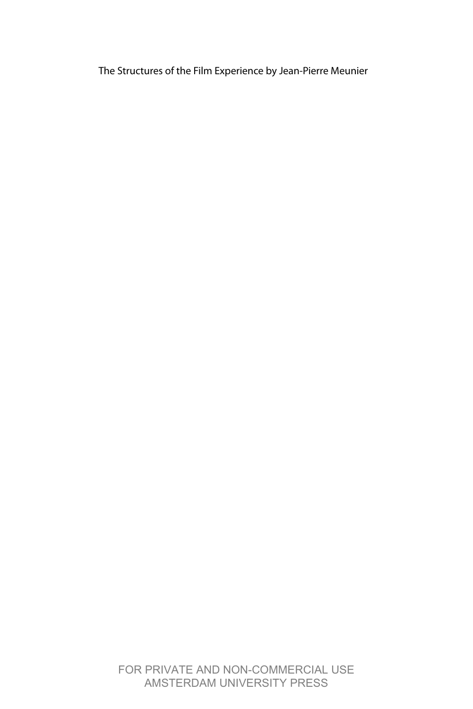The Structures of the Film Experience by Jean-Pierre Meunier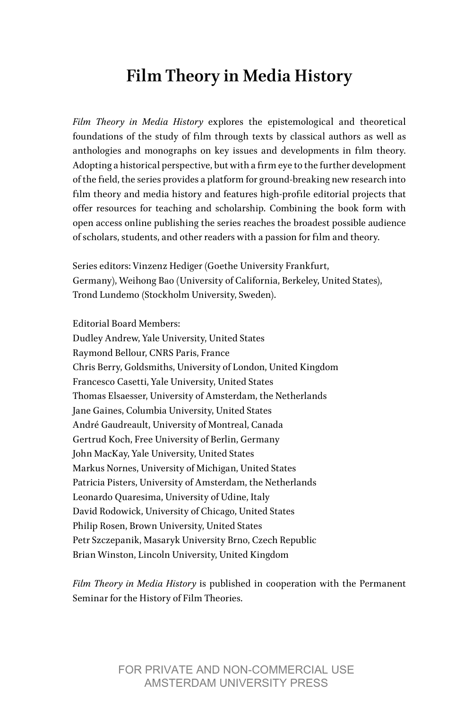### **Film Theory in Media History**

*Film Theory in Media History* explores the epistemological and theoretical foundations of the study of film through texts by classical authors as well as anthologies and monographs on key issues and developments in film theory. Adopting a historical perspective, but with a firm eye to the further development of the field, the series provides a platform for ground-breaking new research into film theory and media history and features high-profile editorial projects that offer resources for teaching and scholarship. Combining the book form with open access online publishing the series reaches the broadest possible audience of scholars, students, and other readers with a passion for film and theory.

Series editors: Vinzenz Hediger (Goethe University Frankfurt, Germany), Weihong Bao (University of California, Berkeley, United States), Trond Lundemo (Stockholm University, Sweden).

Editorial Board Members: Dudley Andrew, Yale University, United States Raymond Bellour, CNRS Paris, France Chris Berry, Goldsmiths, University of London, United Kingdom Francesco Casetti, Yale University, United States Thomas Elsaesser, University of Amsterdam, the Netherlands Jane Gaines, Columbia University, United States André Gaudreault, University of Montreal, Canada Gertrud Koch, Free University of Berlin, Germany John MacKay, Yale University, United States Markus Nornes, University of Michigan, United States Patricia Pisters, University of Amsterdam, the Netherlands Leonardo Quaresima, University of Udine, Italy David Rodowick, University of Chicago, United States Philip Rosen, Brown University, United States Petr Szczepanik, Masaryk University Brno, Czech Republic Brian Winston, Lincoln University, United Kingdom

*Film Theory in Media History* is published in cooperation with the Permanent Seminar for the History of Film Theories.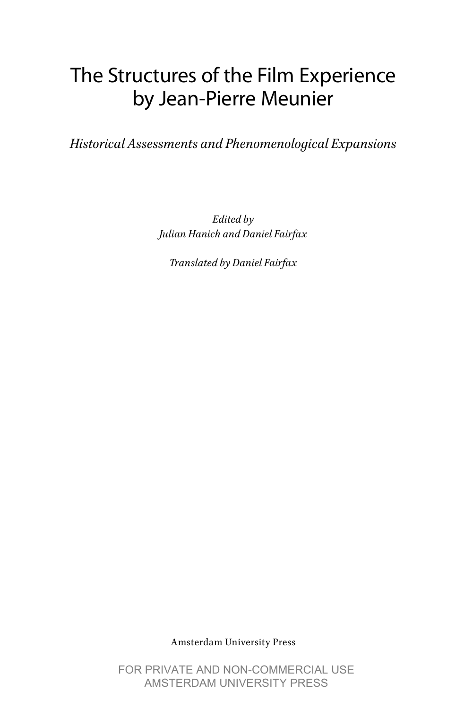# The Structures of the Film Experience by Jean-Pierre Meunier

*Historical Assessments and Phenomenological Expansions*

*Edited by Julian Hanich and Daniel Fairfax*

*Translated by Daniel Fairfax*

Amsterdam University Press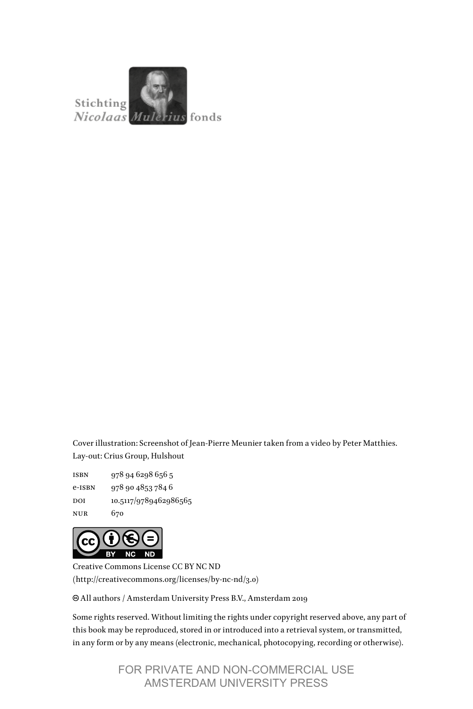

Cover illustration: Screenshot of Jean-Pierre Meunier taken from a video by Peter Matthies. Lay-out: Crius Group, Hulshout

isbn 978 94 6298 656 5 e-isbn 978 90 4853 784 6 DOI 10.5117/9789462986565 nur 670



Creative Commons License CC BY NC ND (http://creativecommons.org/licenses/by-nc-nd/3.0)

All authors / Amsterdam University Press B.V., Amsterdam 2019

Some rights reserved. Without limiting the rights under copyright reserved above, any part of this book may be reproduced, stored in or introduced into a retrieval system, or transmitted, in any form or by any means (electronic, mechanical, photocopying, recording or otherwise).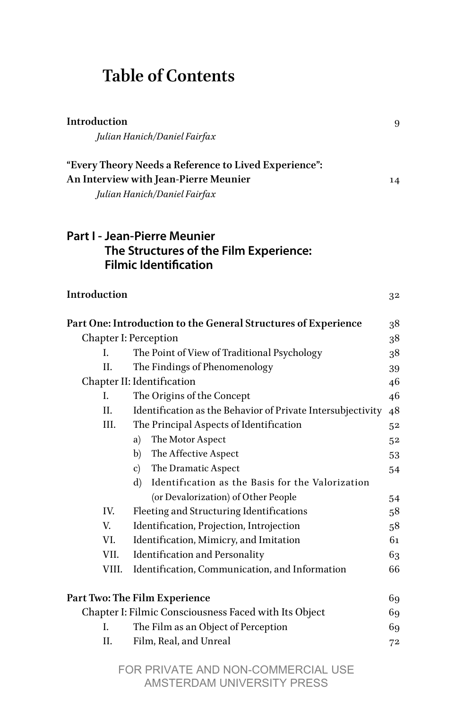## **Table of Contents**

| Introduction | Julian Hanich/Daniel Fairfax                                                                                                   | 9  |
|--------------|--------------------------------------------------------------------------------------------------------------------------------|----|
|              | "Every Theory Needs a Reference to Lived Experience":<br>An Interview with Jean-Pierre Meunier<br>Julian Hanich/Daniel Fairfax | 14 |
|              | <b>Part I - Jean-Pierre Meunier</b><br>The Structures of the Film Experience:<br><b>Filmic Identification</b>                  |    |
| Introduction |                                                                                                                                | 32 |
|              | Part One: Introduction to the General Structures of Experience                                                                 | 38 |
|              | <b>Chapter I: Perception</b>                                                                                                   | 38 |
| L.           | The Point of View of Traditional Psychology                                                                                    | 38 |
| II.          | The Findings of Phenomenology                                                                                                  | 39 |
|              | Chapter II: Identification                                                                                                     | 46 |
| I.           | The Origins of the Concept                                                                                                     | 46 |
| II.          | Identification as the Behavior of Private Intersubjectivity                                                                    | 48 |
| III.         | The Principal Aspects of Identification                                                                                        | 52 |
|              | a) The Motor Aspect                                                                                                            | 52 |
|              | b) The Affective Aspect                                                                                                        | 53 |
|              | The Dramatic Aspect<br>$\mathbf{c})$                                                                                           | 54 |
|              | Identification as the Basis for the Valorization<br>d)                                                                         |    |
|              | (or Devalorization) of Other People                                                                                            | 54 |
| IV.          | Fleeting and Structuring Identifications                                                                                       | 58 |
| V.           | Identification, Projection, Introjection                                                                                       | 58 |
| VI.          | Identification, Mimicry, and Imitation                                                                                         | 61 |
| VII.         | Identification and Personality                                                                                                 | 63 |
| VIII.        | Identification, Communication, and Information                                                                                 | 66 |
|              | Part Two: The Film Experience                                                                                                  | 69 |
|              | Chapter I: Filmic Consciousness Faced with Its Object                                                                          |    |
| L.           | The Film as an Object of Perception                                                                                            | 69 |
| II.          | Film, Real, and Unreal                                                                                                         | 72 |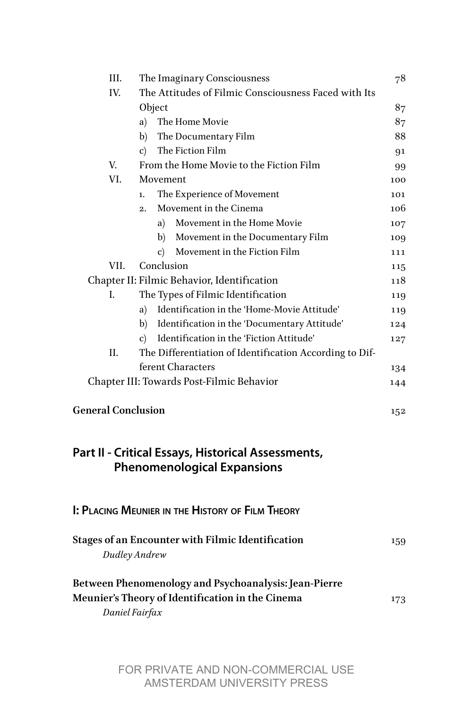| III.                      | The Imaginary Consciousness                                                              | 78  |
|---------------------------|------------------------------------------------------------------------------------------|-----|
| IV.                       | The Attitudes of Filmic Consciousness Faced with Its                                     |     |
|                           | Object                                                                                   | 87  |
|                           | The Home Movie<br>a)                                                                     | 87  |
|                           | b)<br>The Documentary Film                                                               | 88  |
|                           | The Fiction Film<br>c)                                                                   | 91  |
| V.                        | From the Home Movie to the Fiction Film                                                  | 99  |
| VI.                       | Movement                                                                                 | 100 |
|                           | The Experience of Movement<br>ı.                                                         | 101 |
|                           | Movement in the Cinema<br>$\overline{2}$ .                                               | 106 |
|                           | Movement in the Home Movie<br>a)                                                         | 107 |
|                           | Movement in the Documentary Film<br>b)                                                   | 109 |
|                           | Movement in the Fiction Film<br>c)                                                       | 111 |
| VII.                      | Conclusion                                                                               | 115 |
|                           | Chapter II: Filmic Behavior, Identification                                              | 118 |
| L                         | The Types of Filmic Identification                                                       | 119 |
|                           | Identification in the 'Home-Movie Attitude'<br>a)                                        | 119 |
|                           | Identification in the 'Documentary Attitude'<br>b)                                       | 124 |
|                           | Identification in the 'Fiction Attitude'<br>c)                                           | 127 |
| Η.                        | The Differentiation of Identification According to Dif-                                  |     |
|                           | ferent Characters                                                                        | 134 |
|                           | Chapter III: Towards Post-Filmic Behavior                                                | 144 |
| <b>General Conclusion</b> |                                                                                          | 152 |
|                           | Part II - Critical Essays, Historical Assessments,<br><b>Phenomenological Expansions</b> |     |
|                           | I: PLACING MEUNIER IN THE HISTORY OF FILM THEORY                                         |     |
|                           | Stages of an Encounter with Filmic Identification<br>Dudley Andrew                       | 159 |
|                           | Between Phenomenology and Psychoanalysis: Jean-Pierre                                    |     |
|                           | Meunier's Theory of Identification in the Cinema<br>Daniel Fairfax                       | 173 |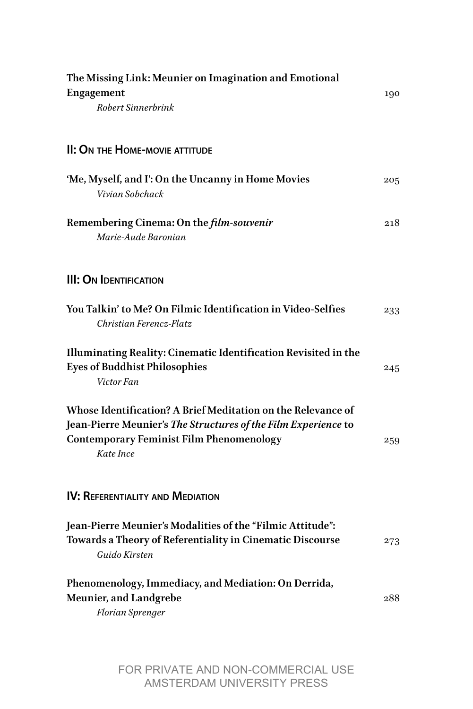| The Missing Link: Meunier on Imagination and Emotional<br><b>Engagement</b><br>Robert Sinnerbrink                                                                                              |     |
|------------------------------------------------------------------------------------------------------------------------------------------------------------------------------------------------|-----|
| II: ON THE HOME-MOVIE ATTITUDE                                                                                                                                                                 |     |
| 'Me, Myself, and I': On the Uncanny in Home Movies<br>Vivian Sobchack                                                                                                                          | 205 |
| Remembering Cinema: On the <i>film-souvenir</i><br>Marie-Aude Baronian                                                                                                                         | 218 |
| <b>III: ON IDENTIFICATION</b>                                                                                                                                                                  |     |
| You Talkin' to Me? On Filmic Identification in Video-Selfies<br>Christian Ferencz-Flatz                                                                                                        | 233 |
| Illuminating Reality: Cinematic Identification Revisited in the<br><b>Eyes of Buddhist Philosophies</b><br>Victor Fan                                                                          | 245 |
| Whose Identification? A Brief Meditation on the Relevance of<br>Jean-Pierre Meunier's The Structures of the Film Experience to<br><b>Contemporary Feminist Film Phenomenology</b><br>Kate Ince | 259 |
| IV: REFERENTIALITY AND MEDIATION                                                                                                                                                               |     |
| Jean-Pierre Meunier's Modalities of the "Filmic Attitude":<br>Towards a Theory of Referentiality in Cinematic Discourse<br>Guido Kirsten                                                       | 273 |
| Phenomenology, Immediacy, and Mediation: On Derrida,<br>Meunier, and Landgrebe<br>Florian Sprenger                                                                                             | 288 |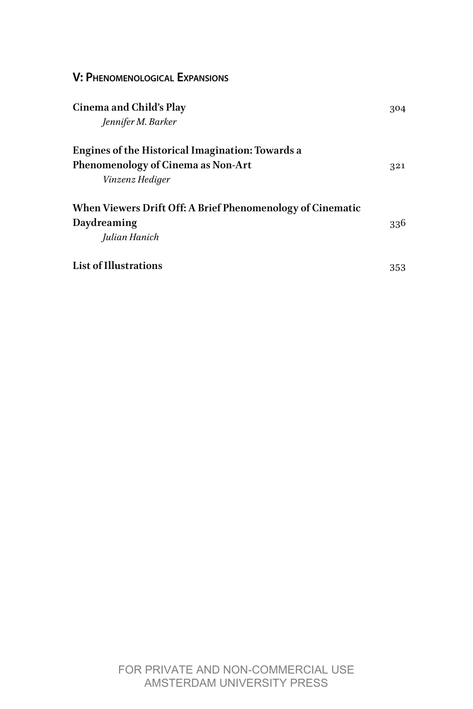| <b>V: PHENOMENOLOGICAL EXPANSIONS</b>                                                                     |     |
|-----------------------------------------------------------------------------------------------------------|-----|
| Cinema and Child's Play<br>Jennifer M. Barker                                                             |     |
| Engines of the Historical Imagination: Towards a<br>Phenomenology of Cinema as Non-Art<br>Vinzenz Hediger | 321 |
| When Viewers Drift Off: A Brief Phenomenology of Cinematic<br>Daydreaming<br>Julian Hanich                |     |
| List of Illustrations                                                                                     | 353 |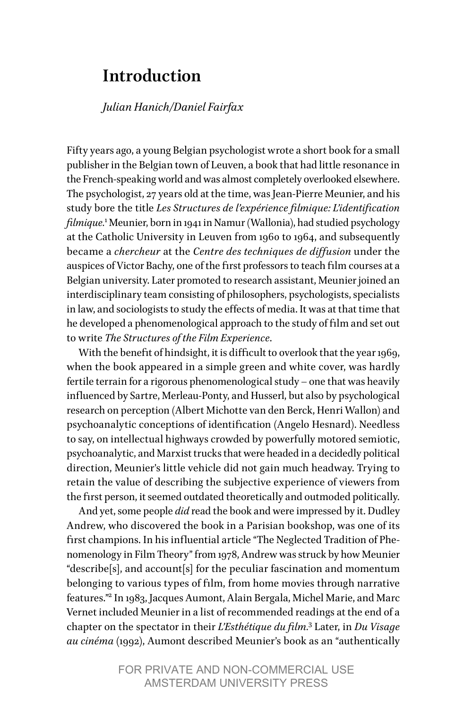#### <span id="page-9-0"></span>**Introduction**

#### *Julian Hanich/Daniel Fairfax*

Fifty years ago, a young Belgian psychologist wrote a short book for a small publisher in the Belgian town of Leuven, a book that had little resonance in the French-speaking world and was almost completely overlooked elsewhere. The psychologist, 27 years old at the time, was Jean-Pierre Meunier, and his study bore the title *Les Structures de l'expérience filmique: L'identification filmique.*[1](#page-13-0)Meunier, born in 1941 in Namur (Wallonia), had studied psychology at the Catholic University in Leuven from 1960 to 1964, and subsequently became a *chercheur* at the *Centre des techniques de diffusion* under the auspices of Victor Bachy, one of the first professors to teach film courses at a Belgian university. Later promoted to research assistant, Meunier joined an interdisciplinary team consisting of philosophers, psychologists, specialists in law, and sociologists to study the effects of media. It was at that time that he developed a phenomenological approach to the study of film and set out to write *The Structures of the Film Experience*.

With the benefit of hindsight, it is difficult to overlook that the year 1969, when the book appeared in a simple green and white cover, was hardly fertile terrain for a rigorous phenomenological study – one that was heavily influenced by Sartre, Merleau-Ponty, and Husserl, but also by psychological research on perception (Albert Michotte van den Berck, Henri Wallon) and psychoanalytic conceptions of identification (Angelo Hesnard). Needless to say, on intellectual highways crowded by powerfully motored semiotic, psychoanalytic, and Marxist trucks that were headed in a decidedly political direction, Meunier's little vehicle did not gain much headway. Trying to retain the value of describing the subjective experience of viewers from the first person, it seemed outdated theoretically and outmoded politically.

And yet, some people *did* read the book and were impressed by it. Dudley Andrew, who discovered the book in a Parisian bookshop, was one of its first champions. In his influential article "The Neglected Tradition of Phenomenology in Film Theory" from 1978, Andrew was struck by how Meunier "describe[s], and account[s] for the peculiar fascination and momentum belonging to various types of film, from home movies through narrative features.["2](#page-13-1) In 1983, Jacques Aumont, Alain Bergala, Michel Marie, and Marc Vernet included Meunier in a list of recommended readings at the end of a chapter on the spectator in their *L'Esthétique du film.*[3](#page-13-2) Later, in *Du Visage au cinéma* (1992), Aumont described Meunier's book as an "authentically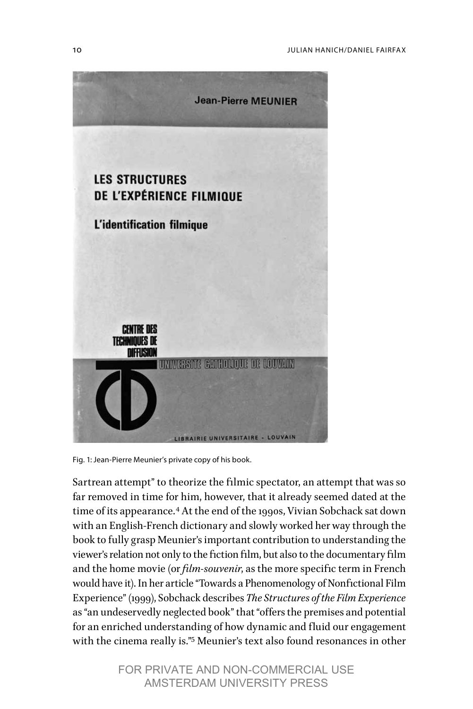

Fig. 1: Jean-Pierre Meunier's private copy of his book.

Sartrean attempt" to theorize the filmic spectator, an attempt that was so far removed in time for him, however, that it already seemed dated at the time of its appearance.[4](#page-13-3) At the end of the 1990s, Vivian Sobchack sat down with an English-French dictionary and slowly worked her way through the book to fully grasp Meunier's important contribution to understanding the viewer's relation not only to the fiction film, but also to the documentary film and the home movie (or *film-souvenir*, as the more specific term in French would have it). In her article "Towards a Phenomenology of Nonfictional Film Experience" (1999), Sobchack describes *The Structures of the Film Experience*  as "an undeservedly neglected book" that "offers the premises and potential for an enriched understanding of how dynamic and fluid our engagement with the cinema really is.["5](#page-13-4) Meunier's text also found resonances in other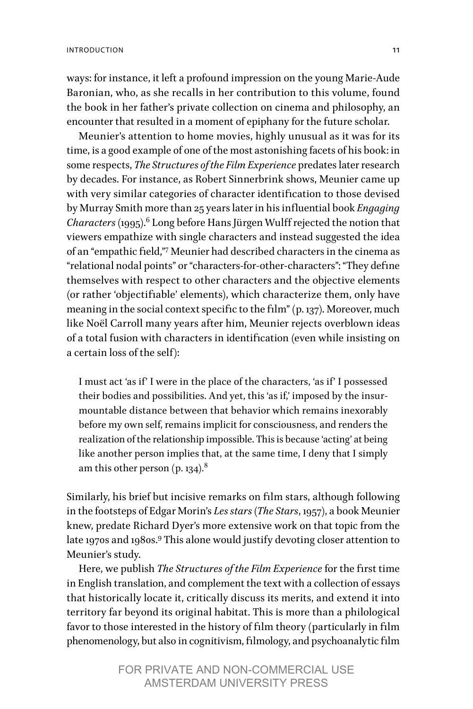ways: for instance, it left a profound impression on the young Marie-Aude Baronian, who, as she recalls in her contribution to this volume, found the book in her father's private collection on cinema and philosophy, an encounter that resulted in a moment of epiphany for the future scholar.

Meunier's attention to home movies, highly unusual as it was for its time, is a good example of one of the most astonishing facets of his book: in some respects, *The Structures of the Film Experience* predates later research by decades. For instance, as Robert Sinnerbrink shows, Meunier came up with very similar categories of character identification to those devised by Murray Smith more than 25 years later in his influential book *Engaging Characters* (1995).[6](#page-13-5) Long before Hans Jürgen Wulff rejected the notion that viewers empathize with single characters and instead suggested the idea of an "empathic field,"[7](#page-13-6) Meunier had described characters in the cinema as "relational nodal points" or "characters-for-other-characters": "They define themselves with respect to other characters and the objective elements (or rather 'objectifiable' elements), which characterize them, only have meaning in the social context specific to the film" (p. 137). Moreover, much like Noël Carroll many years after him, Meunier rejects overblown ideas of a total fusion with characters in identification (even while insisting on a certain loss of the self):

I must act 'as if' I were in the place of the characters, 'as if' I possessed their bodies and possibilities. And yet, this 'as if,' imposed by the insurmountable distance between that behavior which remains inexorably before my own self, remains implicit for consciousness, and renders the realization of the relationship impossible. This is because 'acting' at being like another person implies that, at the same time, I deny that I simply am this other person  $(p. 134)^8$  $(p. 134)^8$ 

Similarly, his brief but incisive remarks on film stars, although following in the footsteps of Edgar Morin's *Les stars* (*The Stars*, 1957), a book Meunier knew, predate Richard Dyer's more extensive work on that topic from the late 1[9](#page-13-8)70s and 1980s.<sup>9</sup> This alone would justify devoting closer attention to Meunier's study.

Here, we publish *The Structures of the Film Experience* for the first time in English translation, and complement the text with a collection of essays that historically locate it, critically discuss its merits, and extend it into territory far beyond its original habitat. This is more than a philological favor to those interested in the history of film theory (particularly in film phenomenology, but also in cognitivism, filmology, and psychoanalytic film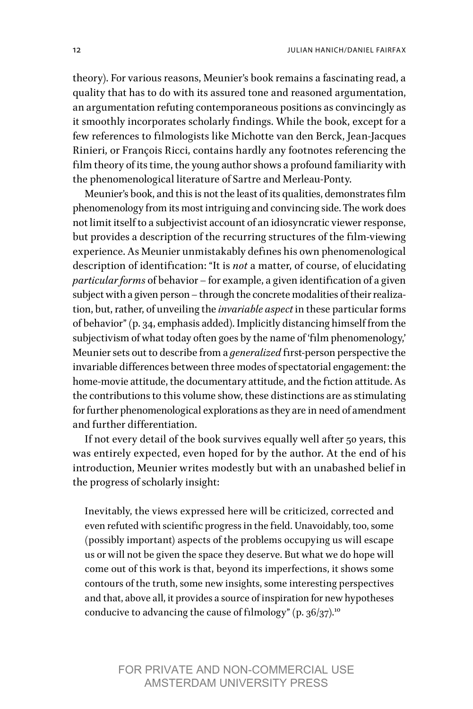theory). For various reasons, Meunier's book remains a fascinating read, a quality that has to do with its assured tone and reasoned argumentation, an argumentation refuting contemporaneous positions as convincingly as it smoothly incorporates scholarly findings. While the book, except for a few references to filmologists like Michotte van den Berck, Jean-Jacques Rinieri, or François Ricci, contains hardly any footnotes referencing the film theory of its time, the young author shows a profound familiarity with the phenomenological literature of Sartre and Merleau-Ponty.

Meunier's book, and this is not the least of its qualities, demonstrates film phenomenology from its most intriguing and convincing side. The work does not limit itself to a subjectivist account of an idiosyncratic viewer response, but provides a description of the recurring structures of the film-viewing experience. As Meunier unmistakably defines his own phenomenological description of identification: "It is *not* a matter, of course, of elucidating *particular forms* of behavior – for example, a given identification of a given subject with a given person – through the concrete modalities of their realization, but, rather, of unveiling the *invariable aspect* in these particular forms of behavior" (p. 34, emphasis added). Implicitly distancing himself from the subjectivism of what today often goes by the name of 'film phenomenology,' Meunier sets out to describe from a *generalized* first-person perspective the invariable differences between three modes of spectatorial engagement: the home-movie attitude, the documentary attitude, and the fiction attitude. As the contributions to this volume show, these distinctions are as stimulating for further phenomenological explorations as they are in need of amendment and further differentiation.

If not every detail of the book survives equally well after 50 years, this was entirely expected, even hoped for by the author. At the end of his introduction, Meunier writes modestly but with an unabashed belief in the progress of scholarly insight:

Inevitably, the views expressed here will be criticized, corrected and even refuted with scientific progress in the field. Unavoidably, too, some (possibly important) aspects of the problems occupying us will escape us or will not be given the space they deserve. But what we do hope will come out of this work is that, beyond its imperfections, it shows some contours of the truth, some new insights, some interesting perspectives and that, above all, it provides a source of inspiration for new hypotheses conducive to advancing the cause of filmology" (p. 36/37).<sup>[10](#page-13-9)</sup>